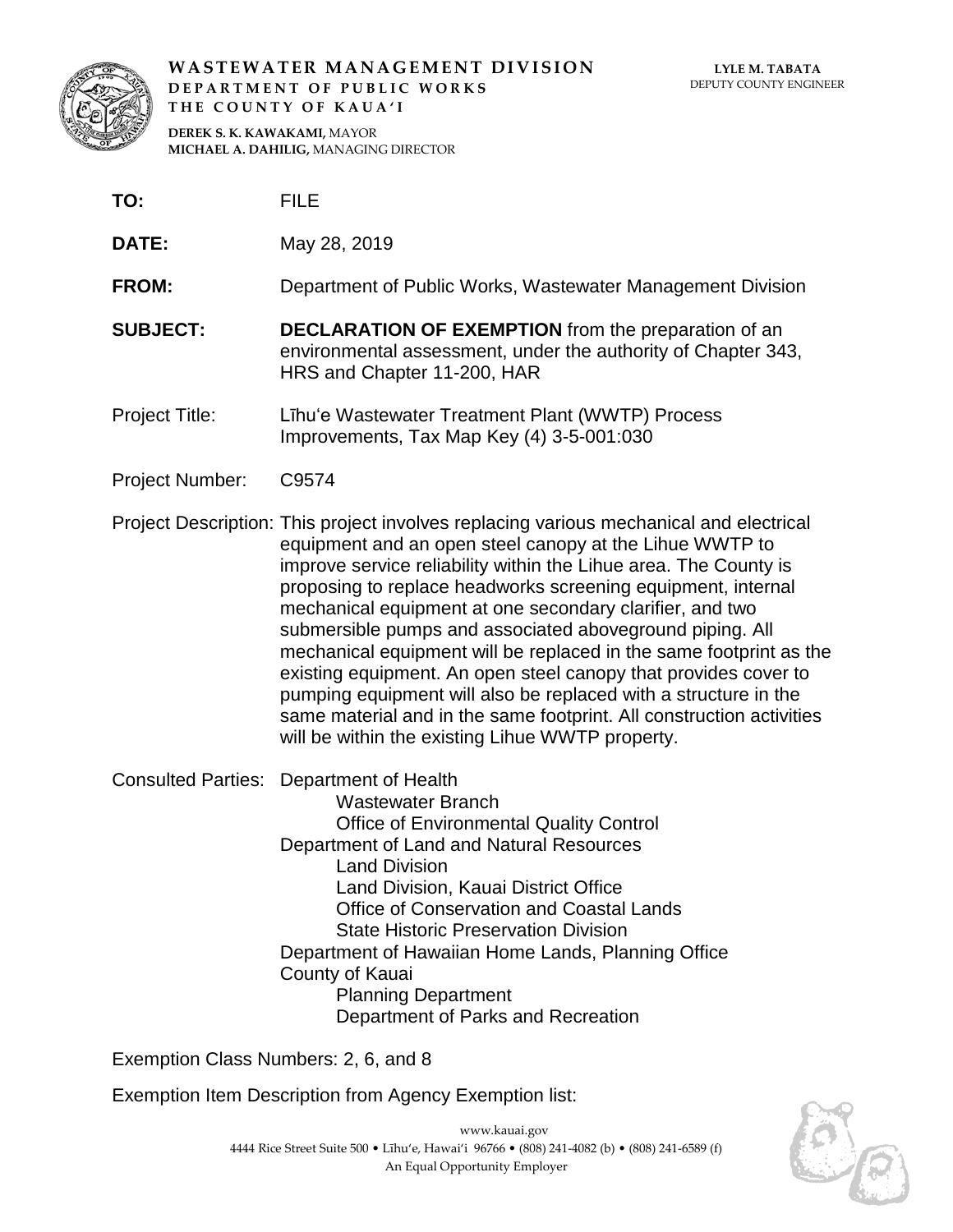

**WASTEWATER MANAGEMENT DIVISION DEPARTMENT OF PUBLIC WORKS THE COUNTY OF KAUA'I**

**DEREK S. K. KAWAKAMI,** MAYOR **MICHAEL A. DAHILIG,** MANAGING DIRECTOR

- **TO:** FILE
- **DATE:** May 28, 2019

**FROM:** Department of Public Works, Wastewater Management Division

- **SUBJECT: DECLARATION OF EXEMPTION** from the preparation of an environmental assessment, under the authority of Chapter 343, HRS and Chapter 11-200, HAR
- Project Title: Līhu'e Wastewater Treatment Plant (WWTP) Process Improvements, Tax Map Key (4) 3-5-001:030
- Project Number: C9574
- Project Description: This project involves replacing various mechanical and electrical equipment and an open steel canopy at the Lihue WWTP to improve service reliability within the Lihue area. The County is proposing to replace headworks screening equipment, internal mechanical equipment at one secondary clarifier, and two submersible pumps and associated aboveground piping. All mechanical equipment will be replaced in the same footprint as the existing equipment. An open steel canopy that provides cover to pumping equipment will also be replaced with a structure in the same material and in the same footprint. All construction activities will be within the existing Lihue WWTP property.
- Consulted Parties: Department of Health

Wastewater Branch Office of Environmental Quality Control Department of Land and Natural Resources Land Division Land Division, Kauai District Office Office of Conservation and Coastal Lands State Historic Preservation Division Department of Hawaiian Home Lands, Planning Office County of Kauai Planning Department Department of Parks and Recreation

Exemption Class Numbers: 2, 6, and 8

Exemption Item Description from Agency Exemption list:

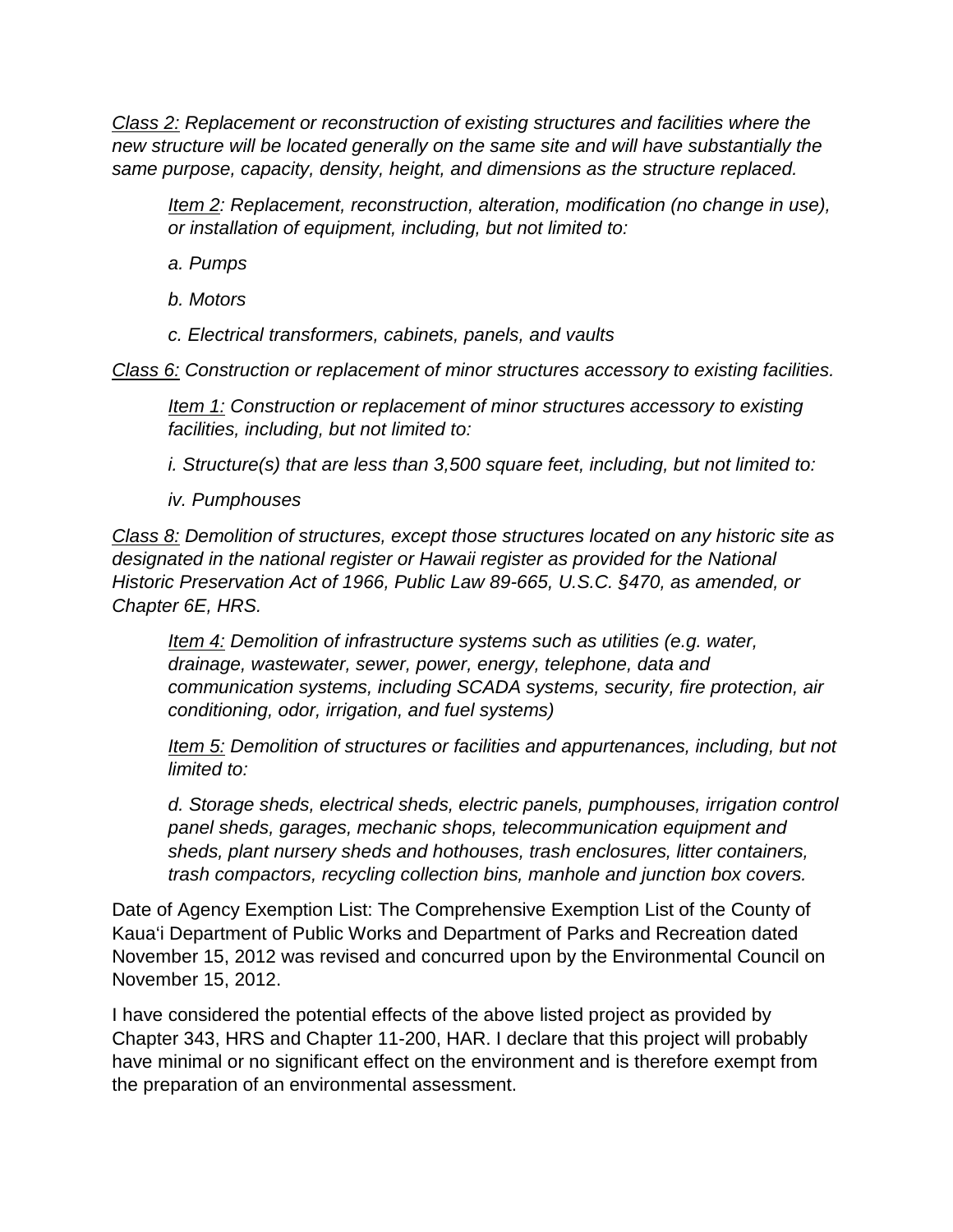*Class 2: Replacement or reconstruction of existing structures and facilities where the new structure will be located generally on the same site and will have substantially the same purpose, capacity, density, height, and dimensions as the structure replaced.*

*Item 2: Replacement, reconstruction, alteration, modification (no change in use), or installation of equipment, including, but not limited to:*

*a. Pumps*

- *b. Motors*
- *c. Electrical transformers, cabinets, panels, and vaults*

*Class 6: Construction or replacement of minor structures accessory to existing facilities.*

*Item 1: Construction or replacement of minor structures accessory to existing facilities, including, but not limited to:*

*i. Structure(s) that are less than 3,500 square feet, including, but not limited to:*

*iv. Pumphouses*

*Class 8: Demolition of structures, except those structures located on any historic site as designated in the national register or Hawaii register as provided for the National Historic Preservation Act of 1966, Public Law 89-665, U.S.C. §470, as amended, or Chapter 6E, HRS.*

*Item 4: Demolition of infrastructure systems such as utilities (e.g. water, drainage, wastewater, sewer, power, energy, telephone, data and communication systems, including SCADA systems, security, fire protection, air conditioning, odor, irrigation, and fuel systems)*

*Item 5: Demolition of structures or facilities and appurtenances, including, but not limited to:*

*d. Storage sheds, electrical sheds, electric panels, pumphouses, irrigation control panel sheds, garages, mechanic shops, telecommunication equipment and sheds, plant nursery sheds and hothouses, trash enclosures, litter containers, trash compactors, recycling collection bins, manhole and junction box covers.*

Date of Agency Exemption List: The Comprehensive Exemption List of the County of Kaua'i Department of Public Works and Department of Parks and Recreation dated November 15, 2012 was revised and concurred upon by the Environmental Council on November 15, 2012.

I have considered the potential effects of the above listed project as provided by Chapter 343, HRS and Chapter 11-200, HAR. I declare that this project will probably have minimal or no significant effect on the environment and is therefore exempt from the preparation of an environmental assessment.